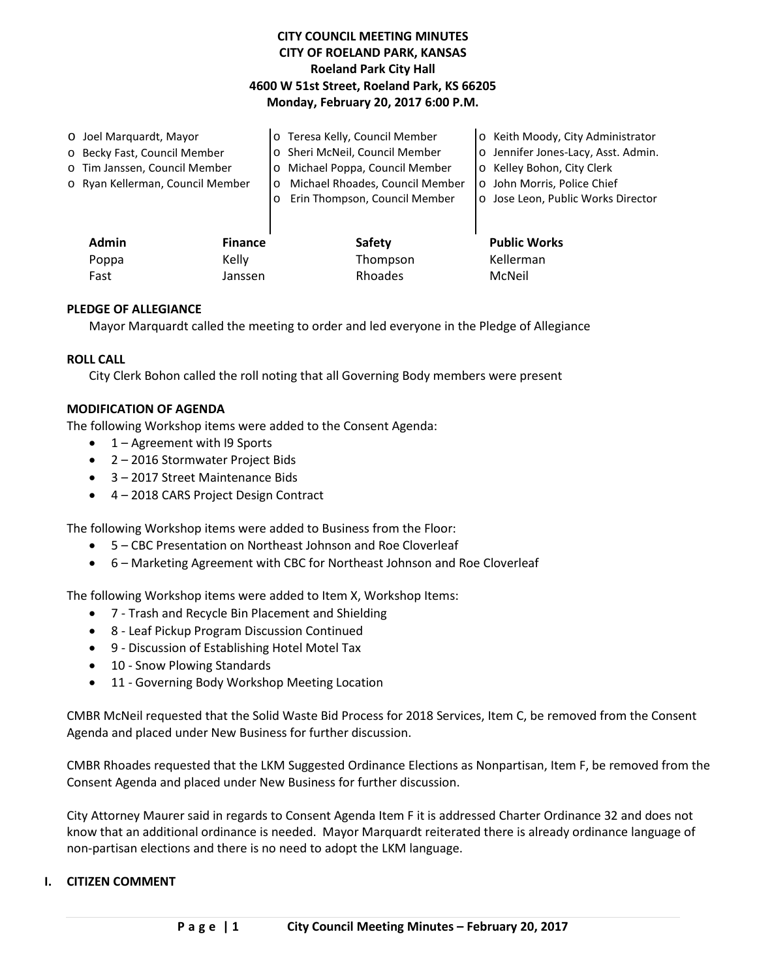# **CITY COUNCIL MEETING MINUTES CITY OF ROELAND PARK, KANSAS Roeland Park City Hall 4600 W 51st Street, Roeland Park, KS 66205 Monday, February 20, 2017 6:00 P.M.**

| O Joel Marquardt, Mayor          |                | o Teresa Kelly, Council Member             | o Keith Moody, City Administrator   |
|----------------------------------|----------------|--------------------------------------------|-------------------------------------|
| o Becky Fast, Council Member     |                | o Sheri McNeil, Council Member             | o Jennifer Jones-Lacy, Asst. Admin. |
| o Tim Janssen, Council Member    |                | o Michael Poppa, Council Member            | o Kelley Bohon, City Clerk          |
| o Ryan Kellerman, Council Member |                | Michael Rhoades, Council Member<br>$\circ$ | o John Morris, Police Chief         |
|                                  |                | Erin Thompson, Council Member<br>$\circ$   | o Jose Leon, Public Works Director  |
|                                  |                |                                            |                                     |
| <b>Admin</b>                     | <b>Finance</b> | <b>Safety</b>                              | <b>Public Works</b>                 |
| Poppa                            | Kelly          | Thompson                                   | Kellerman                           |
| Fast                             | Janssen        | Rhoades                                    | McNeil                              |

### **PLEDGE OF ALLEGIANCE**

Mayor Marquardt called the meeting to order and led everyone in the Pledge of Allegiance

#### **ROLL CALL**

City Clerk Bohon called the roll noting that all Governing Body members were present

#### **MODIFICATION OF AGENDA**

The following Workshop items were added to the Consent Agenda:

- 1 Agreement with I9 Sports
- 2 2016 Stormwater Project Bids
- 3 2017 Street Maintenance Bids
- 4 2018 CARS Project Design Contract

The following Workshop items were added to Business from the Floor:

- 5 CBC Presentation on Northeast Johnson and Roe Cloverleaf
- 6 Marketing Agreement with CBC for Northeast Johnson and Roe Cloverleaf

The following Workshop items were added to Item X, Workshop Items:

- 7 Trash and Recycle Bin Placement and Shielding
- 8 Leaf Pickup Program Discussion Continued
- 9 Discussion of Establishing Hotel Motel Tax
- 10 Snow Plowing Standards
- 11 Governing Body Workshop Meeting Location

CMBR McNeil requested that the Solid Waste Bid Process for 2018 Services, Item C, be removed from the Consent Agenda and placed under New Business for further discussion.

CMBR Rhoades requested that the LKM Suggested Ordinance Elections as Nonpartisan, Item F, be removed from the Consent Agenda and placed under New Business for further discussion.

City Attorney Maurer said in regards to Consent Agenda Item F it is addressed Charter Ordinance 32 and does not know that an additional ordinance is needed. Mayor Marquardt reiterated there is already ordinance language of non-partisan elections and there is no need to adopt the LKM language.

#### **I. CITIZEN COMMENT**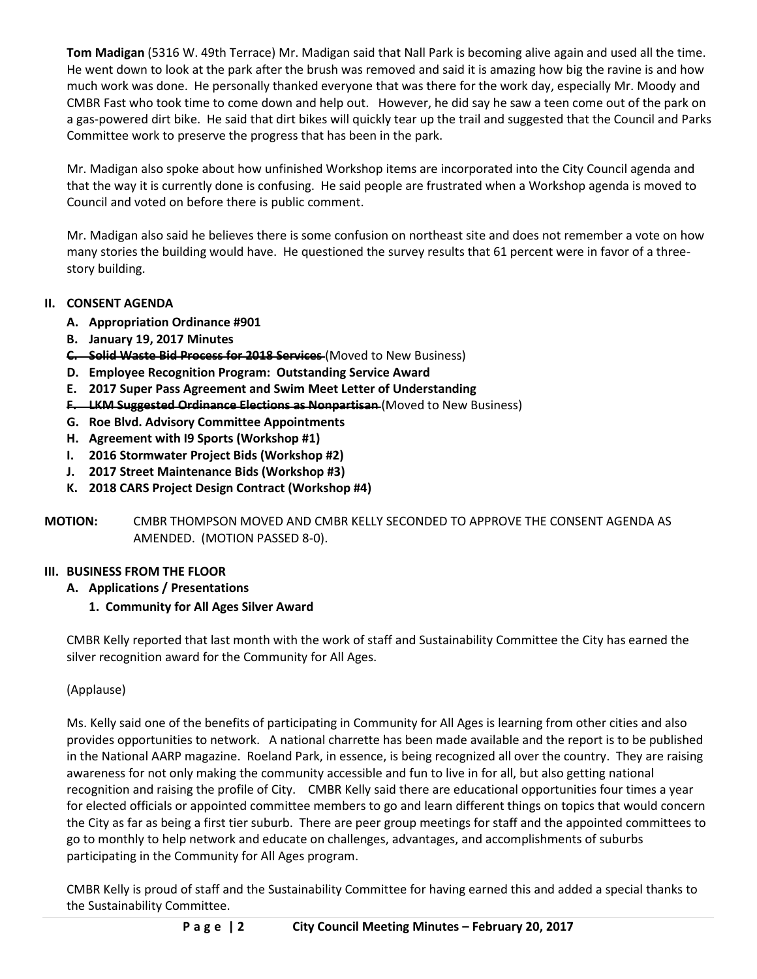**Tom Madigan** (5316 W. 49th Terrace) Mr. Madigan said that Nall Park is becoming alive again and used all the time. He went down to look at the park after the brush was removed and said it is amazing how big the ravine is and how much work was done. He personally thanked everyone that was there for the work day, especially Mr. Moody and CMBR Fast who took time to come down and help out. However, he did say he saw a teen come out of the park on a gas-powered dirt bike. He said that dirt bikes will quickly tear up the trail and suggested that the Council and Parks Committee work to preserve the progress that has been in the park.

Mr. Madigan also spoke about how unfinished Workshop items are incorporated into the City Council agenda and that the way it is currently done is confusing. He said people are frustrated when a Workshop agenda is moved to Council and voted on before there is public comment.

Mr. Madigan also said he believes there is some confusion on northeast site and does not remember a vote on how many stories the building would have. He questioned the survey results that 61 percent were in favor of a threestory building.

# **II. CONSENT AGENDA**

- **A. Appropriation Ordinance #901**
- **B. January 19, 2017 Minutes**
- **C. Solid Waste Bid Process for 2018 Services** (Moved to New Business)
- **D. Employee Recognition Program: Outstanding Service Award**
- **E. 2017 Super Pass Agreement and Swim Meet Letter of Understanding**
- **F. LKM Suggested Ordinance Elections as Nonpartisan** (Moved to New Business)
- **G. Roe Blvd. Advisory Committee Appointments**
- **H. Agreement with I9 Sports (Workshop #1)**
- **I. 2016 Stormwater Project Bids (Workshop #2)**
- **J. 2017 Street Maintenance Bids (Workshop #3)**
- **K. 2018 CARS Project Design Contract (Workshop #4)**

**MOTION:** CMBR THOMPSON MOVED AND CMBR KELLY SECONDED TO APPROVE THE CONSENT AGENDA AS AMENDED. (MOTION PASSED 8-0).

# **III. BUSINESS FROM THE FLOOR**

- **A. Applications / Presentations**
	- **1. Community for All Ages Silver Award**

CMBR Kelly reported that last month with the work of staff and Sustainability Committee the City has earned the silver recognition award for the Community for All Ages.

# (Applause)

Ms. Kelly said one of the benefits of participating in Community for All Ages is learning from other cities and also provides opportunities to network. A national charrette has been made available and the report is to be published in the National AARP magazine. Roeland Park, in essence, is being recognized all over the country. They are raising awareness for not only making the community accessible and fun to live in for all, but also getting national recognition and raising the profile of City. CMBR Kelly said there are educational opportunities four times a year for elected officials or appointed committee members to go and learn different things on topics that would concern the City as far as being a first tier suburb. There are peer group meetings for staff and the appointed committees to go to monthly to help network and educate on challenges, advantages, and accomplishments of suburbs participating in the Community for All Ages program.

CMBR Kelly is proud of staff and the Sustainability Committee for having earned this and added a special thanks to the Sustainability Committee.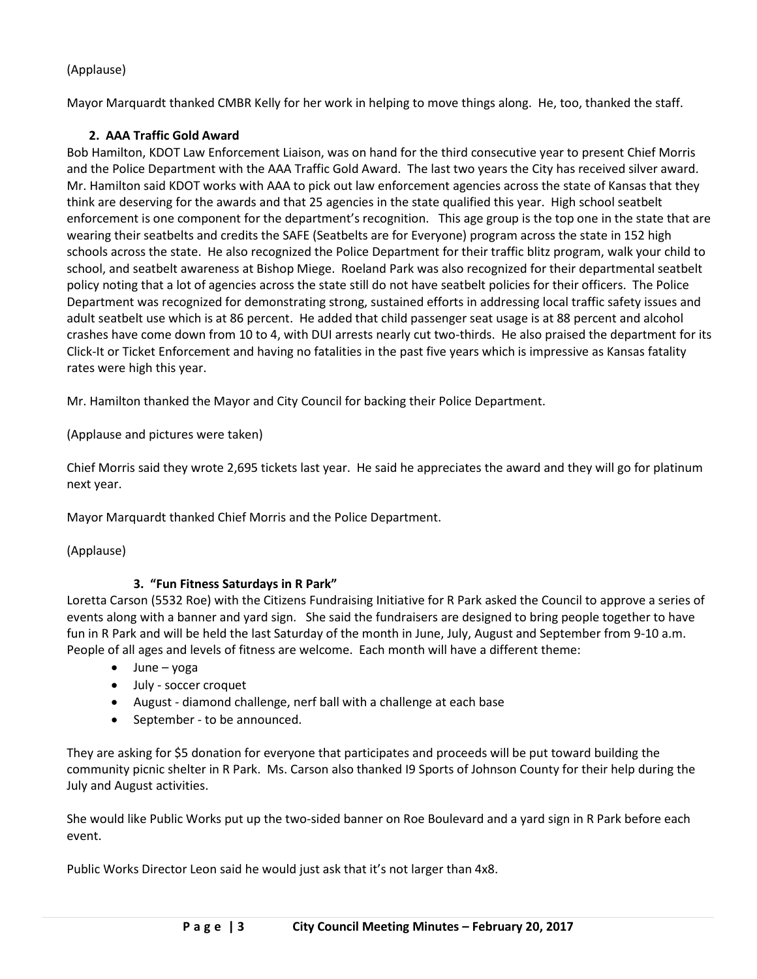# (Applause)

Mayor Marquardt thanked CMBR Kelly for her work in helping to move things along. He, too, thanked the staff.

# **2. AAA Traffic Gold Award**

Bob Hamilton, KDOT Law Enforcement Liaison, was on hand for the third consecutive year to present Chief Morris and the Police Department with the AAA Traffic Gold Award. The last two years the City has received silver award. Mr. Hamilton said KDOT works with AAA to pick out law enforcement agencies across the state of Kansas that they think are deserving for the awards and that 25 agencies in the state qualified this year. High school seatbelt enforcement is one component for the department's recognition. This age group is the top one in the state that are wearing their seatbelts and credits the SAFE (Seatbelts are for Everyone) program across the state in 152 high schools across the state. He also recognized the Police Department for their traffic blitz program, walk your child to school, and seatbelt awareness at Bishop Miege. Roeland Park was also recognized for their departmental seatbelt policy noting that a lot of agencies across the state still do not have seatbelt policies for their officers. The Police Department was recognized for demonstrating strong, sustained efforts in addressing local traffic safety issues and adult seatbelt use which is at 86 percent. He added that child passenger seat usage is at 88 percent and alcohol crashes have come down from 10 to 4, with DUI arrests nearly cut two-thirds. He also praised the department for its Click-It or Ticket Enforcement and having no fatalities in the past five years which is impressive as Kansas fatality rates were high this year.

Mr. Hamilton thanked the Mayor and City Council for backing their Police Department.

(Applause and pictures were taken)

Chief Morris said they wrote 2,695 tickets last year. He said he appreciates the award and they will go for platinum next year.

Mayor Marquardt thanked Chief Morris and the Police Department.

(Applause)

# **3. "Fun Fitness Saturdays in R Park"**

Loretta Carson (5532 Roe) with the Citizens Fundraising Initiative for R Park asked the Council to approve a series of events along with a banner and yard sign. She said the fundraisers are designed to bring people together to have fun in R Park and will be held the last Saturday of the month in June, July, August and September from 9-10 a.m. People of all ages and levels of fitness are welcome. Each month will have a different theme:

- June yoga
- July soccer croquet
- August diamond challenge, nerf ball with a challenge at each base
- September to be announced.

They are asking for \$5 donation for everyone that participates and proceeds will be put toward building the community picnic shelter in R Park. Ms. Carson also thanked I9 Sports of Johnson County for their help during the July and August activities.

She would like Public Works put up the two-sided banner on Roe Boulevard and a yard sign in R Park before each event.

Public Works Director Leon said he would just ask that it's not larger than 4x8.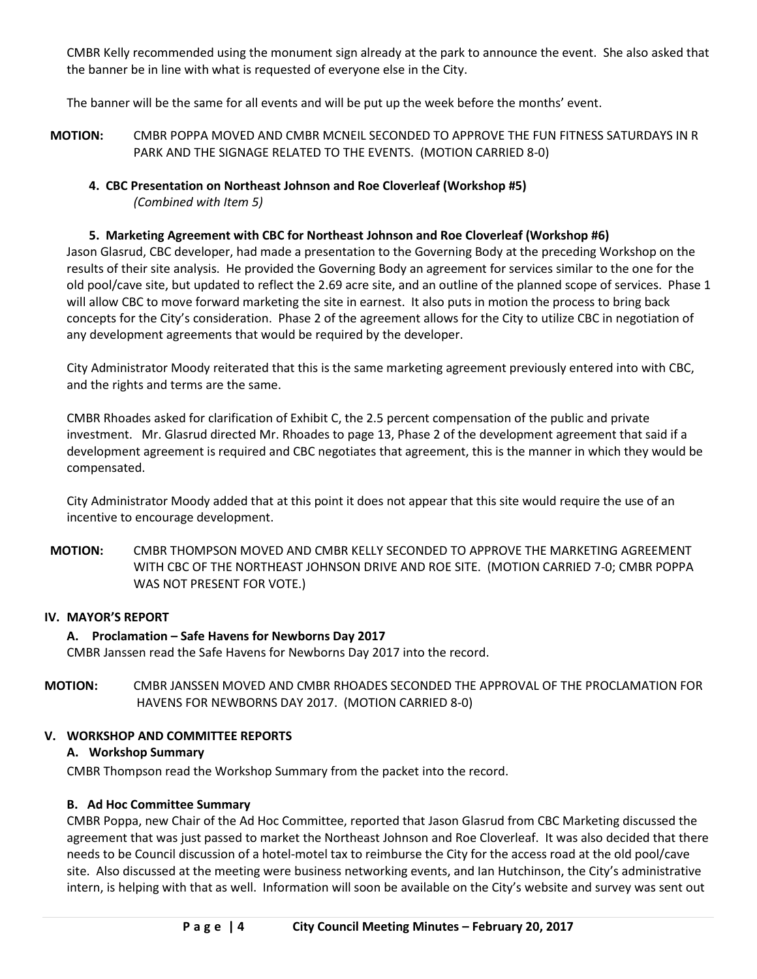CMBR Kelly recommended using the monument sign already at the park to announce the event. She also asked that the banner be in line with what is requested of everyone else in the City.

The banner will be the same for all events and will be put up the week before the months' event.

- **MOTION:** CMBR POPPA MOVED AND CMBR MCNEIL SECONDED TO APPROVE THE FUN FITNESS SATURDAYS IN R PARK AND THE SIGNAGE RELATED TO THE EVENTS. (MOTION CARRIED 8-0)
	- **4. CBC Presentation on Northeast Johnson and Roe Cloverleaf (Workshop #5)** *(Combined with Item 5)*

### **5. Marketing Agreement with CBC for Northeast Johnson and Roe Cloverleaf (Workshop #6)**

Jason Glasrud, CBC developer, had made a presentation to the Governing Body at the preceding Workshop on the results of their site analysis. He provided the Governing Body an agreement for services similar to the one for the old pool/cave site, but updated to reflect the 2.69 acre site, and an outline of the planned scope of services. Phase 1 will allow CBC to move forward marketing the site in earnest. It also puts in motion the process to bring back concepts for the City's consideration. Phase 2 of the agreement allows for the City to utilize CBC in negotiation of any development agreements that would be required by the developer.

City Administrator Moody reiterated that this is the same marketing agreement previously entered into with CBC, and the rights and terms are the same.

CMBR Rhoades asked for clarification of Exhibit C, the 2.5 percent compensation of the public and private investment. Mr. Glasrud directed Mr. Rhoades to page 13, Phase 2 of the development agreement that said if a development agreement is required and CBC negotiates that agreement, this is the manner in which they would be compensated.

City Administrator Moody added that at this point it does not appear that this site would require the use of an incentive to encourage development.

**MOTION:** CMBR THOMPSON MOVED AND CMBR KELLY SECONDED TO APPROVE THE MARKETING AGREEMENT WITH CBC OF THE NORTHEAST JOHNSON DRIVE AND ROE SITE. (MOTION CARRIED 7-0; CMBR POPPA WAS NOT PRESENT FOR VOTE.)

### **IV. MAYOR'S REPORT**

### **A. Proclamation – Safe Havens for Newborns Day 2017**

CMBR Janssen read the Safe Havens for Newborns Day 2017 into the record.

**MOTION:** CMBR JANSSEN MOVED AND CMBR RHOADES SECONDED THE APPROVAL OF THE PROCLAMATION FOR HAVENS FOR NEWBORNS DAY 2017. (MOTION CARRIED 8-0)

### **V. WORKSHOP AND COMMITTEE REPORTS**

### **A. Workshop Summary**

CMBR Thompson read the Workshop Summary from the packet into the record.

### **B. Ad Hoc Committee Summary**

CMBR Poppa, new Chair of the Ad Hoc Committee, reported that Jason Glasrud from CBC Marketing discussed the agreement that was just passed to market the Northeast Johnson and Roe Cloverleaf. It was also decided that there needs to be Council discussion of a hotel-motel tax to reimburse the City for the access road at the old pool/cave site. Also discussed at the meeting were business networking events, and Ian Hutchinson, the City's administrative intern, is helping with that as well. Information will soon be available on the City's website and survey was sent out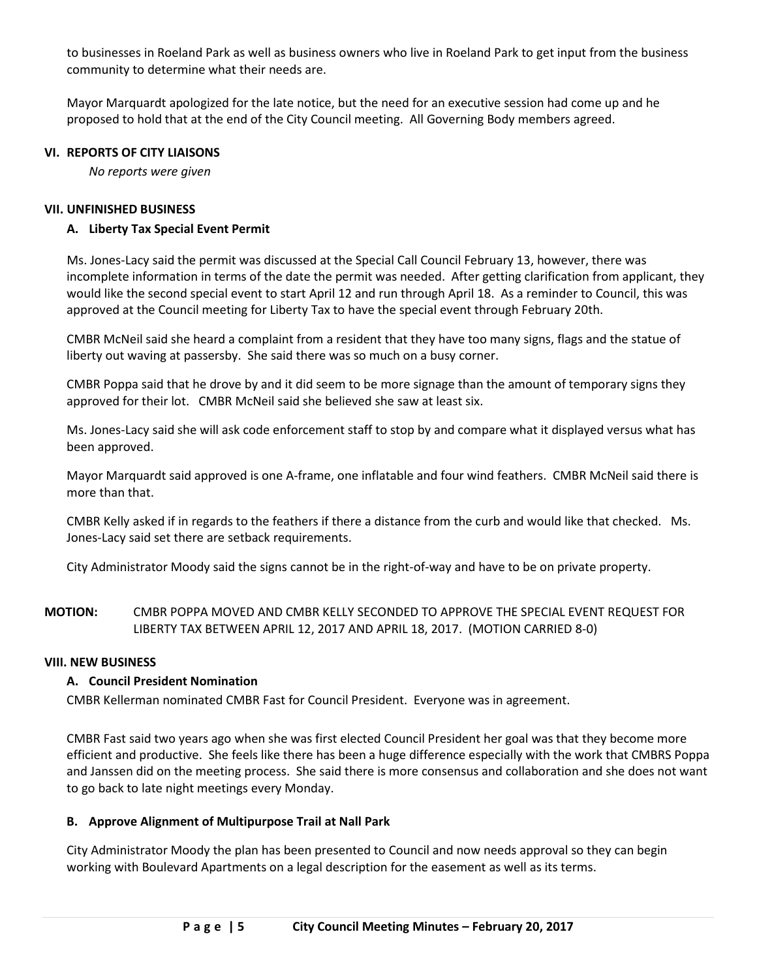to businesses in Roeland Park as well as business owners who live in Roeland Park to get input from the business community to determine what their needs are.

Mayor Marquardt apologized for the late notice, but the need for an executive session had come up and he proposed to hold that at the end of the City Council meeting. All Governing Body members agreed.

### **VI. REPORTS OF CITY LIAISONS**

*No reports were given*

### **VII. UNFINISHED BUSINESS**

### **A. Liberty Tax Special Event Permit**

Ms. Jones-Lacy said the permit was discussed at the Special Call Council February 13, however, there was incomplete information in terms of the date the permit was needed. After getting clarification from applicant, they would like the second special event to start April 12 and run through April 18. As a reminder to Council, this was approved at the Council meeting for Liberty Tax to have the special event through February 20th.

CMBR McNeil said she heard a complaint from a resident that they have too many signs, flags and the statue of liberty out waving at passersby. She said there was so much on a busy corner.

CMBR Poppa said that he drove by and it did seem to be more signage than the amount of temporary signs they approved for their lot. CMBR McNeil said she believed she saw at least six.

Ms. Jones-Lacy said she will ask code enforcement staff to stop by and compare what it displayed versus what has been approved.

Mayor Marquardt said approved is one A-frame, one inflatable and four wind feathers. CMBR McNeil said there is more than that.

CMBR Kelly asked if in regards to the feathers if there a distance from the curb and would like that checked. Ms. Jones-Lacy said set there are setback requirements.

City Administrator Moody said the signs cannot be in the right-of-way and have to be on private property.

**MOTION:** CMBR POPPA MOVED AND CMBR KELLY SECONDED TO APPROVE THE SPECIAL EVENT REQUEST FOR LIBERTY TAX BETWEEN APRIL 12, 2017 AND APRIL 18, 2017. (MOTION CARRIED 8-0)

### **VIII. NEW BUSINESS**

# **A. Council President Nomination**

CMBR Kellerman nominated CMBR Fast for Council President. Everyone was in agreement.

CMBR Fast said two years ago when she was first elected Council President her goal was that they become more efficient and productive. She feels like there has been a huge difference especially with the work that CMBRS Poppa and Janssen did on the meeting process. She said there is more consensus and collaboration and she does not want to go back to late night meetings every Monday.

# **B. Approve Alignment of Multipurpose Trail at Nall Park**

City Administrator Moody the plan has been presented to Council and now needs approval so they can begin working with Boulevard Apartments on a legal description for the easement as well as its terms.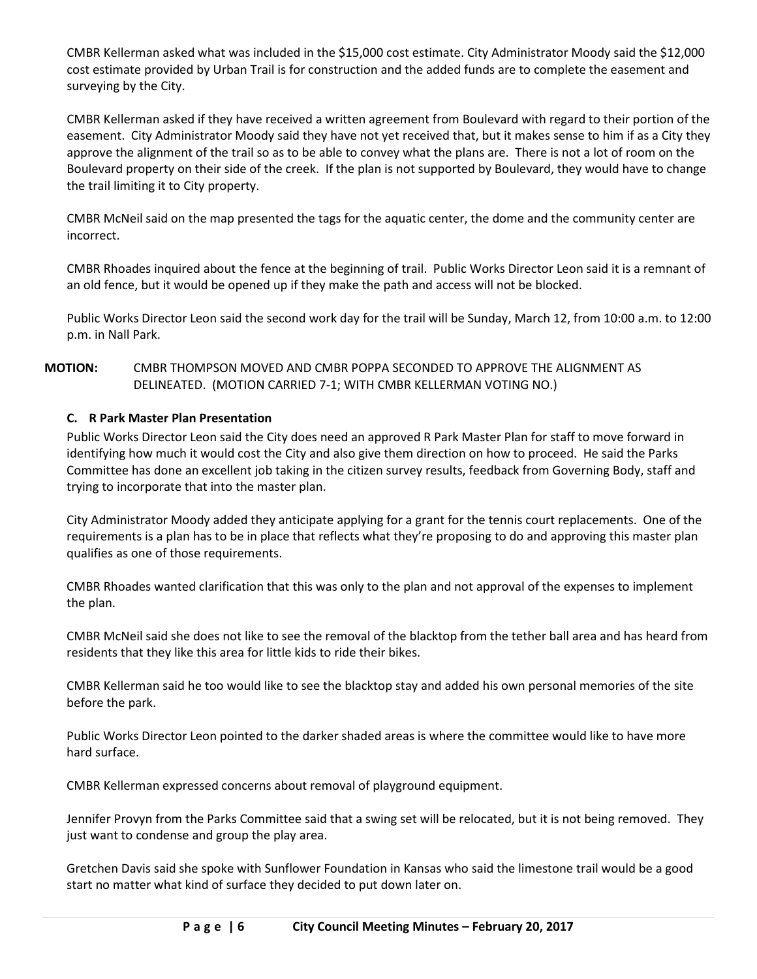CMBR Kellerman asked what was included in the \$15,000 cost estimate. City Administrator Moody said the \$12,000 cost estimate provided by Urban Trail is for construction and the added funds are to complete the easement and surveying by the City.

CMBR Kellerman asked if they have received a written agreement from Boulevard with regard to their portion of the easement. City Administrator Moody said they have not yet received that, but it makes sense to him if as a City they approve the alignment of the trail so as to be able to convey what the plans are. There is not a lot of room on the Boulevard property on their side of the creek. If the plan is not supported by Boulevard, they would have to change the trail limiting it to City property.

CMBR McNeil said on the map presented the tags for the aquatic center, the dome and the community center are incorrect.

CMBR Rhoades inquired about the fence at the beginning of trail. Public Works Director Leon said it is a remnant of an old fence, but it would be opened up if they make the path and access will not be blocked.

Public Works Director Leon said the second work day for the trail will be Sunday, March 12, from 10:00 a.m. to 12:00 p.m. in Nall Park.

# **MOTION:** CMBR THOMPSON MOVED AND CMBR POPPA SECONDED TO APPROVE THE ALIGNMENT AS DELINEATED. (MOTION CARRIED 7-1; WITH CMBR KELLERMAN VOTING NO.)

# **C. R Park Master Plan Presentation**

Public Works Director Leon said the City does need an approved R Park Master Plan for staff to move forward in identifying how much it would cost the City and also give them direction on how to proceed. He said the Parks Committee has done an excellent job taking in the citizen survey results, feedback from Governing Body, staff and trying to incorporate that into the master plan.

City Administrator Moody added they anticipate applying for a grant for the tennis court replacements. One of the requirements is a plan has to be in place that reflects what they're proposing to do and approving this master plan qualifies as one of those requirements.

CMBR Rhoades wanted clarification that this was only to the plan and not approval of the expenses to implement the plan.

CMBR McNeil said she does not like to see the removal of the blacktop from the tether ball area and has heard from residents that they like this area for little kids to ride their bikes.

CMBR Kellerman said he too would like to see the blacktop stay and added his own personal memories of the site before the park.

Public Works Director Leon pointed to the darker shaded areas is where the committee would like to have more hard surface.

CMBR Kellerman expressed concerns about removal of playground equipment.

Jennifer Provyn from the Parks Committee said that a swing set will be relocated, but it is not being removed. They just want to condense and group the play area.

Gretchen Davis said she spoke with Sunflower Foundation in Kansas who said the limestone trail would be a good start no matter what kind of surface they decided to put down later on.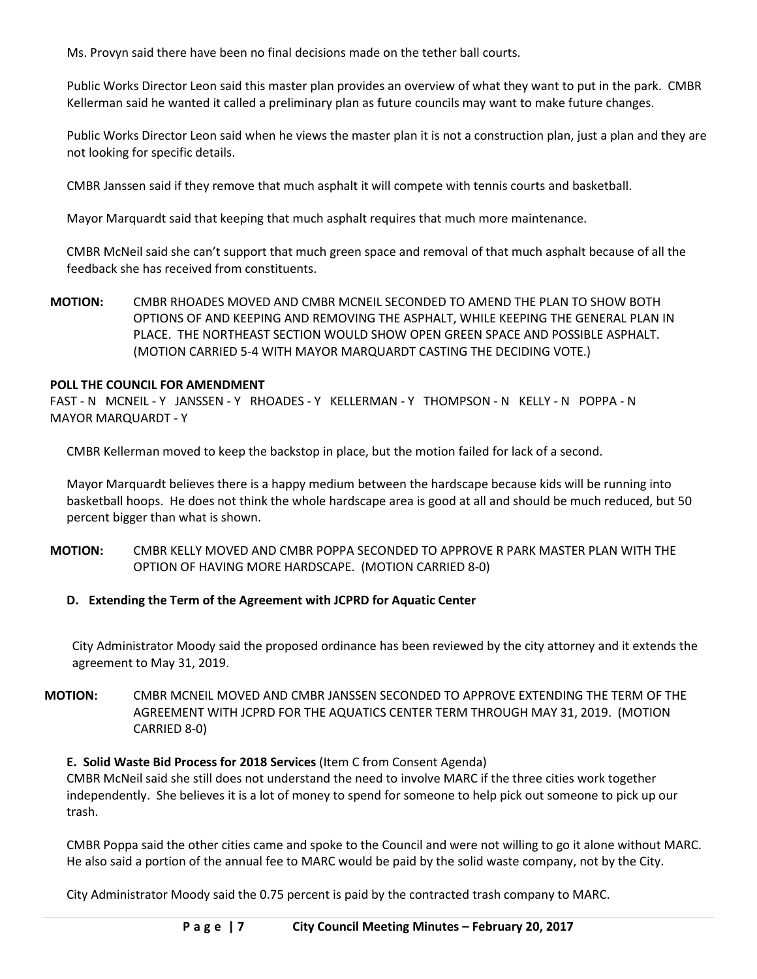Ms. Provyn said there have been no final decisions made on the tether ball courts.

Public Works Director Leon said this master plan provides an overview of what they want to put in the park. CMBR Kellerman said he wanted it called a preliminary plan as future councils may want to make future changes.

Public Works Director Leon said when he views the master plan it is not a construction plan, just a plan and they are not looking for specific details.

CMBR Janssen said if they remove that much asphalt it will compete with tennis courts and basketball.

Mayor Marquardt said that keeping that much asphalt requires that much more maintenance.

CMBR McNeil said she can't support that much green space and removal of that much asphalt because of all the feedback she has received from constituents.

**MOTION:** CMBR RHOADES MOVED AND CMBR MCNEIL SECONDED TO AMEND THE PLAN TO SHOW BOTH OPTIONS OF AND KEEPING AND REMOVING THE ASPHALT, WHILE KEEPING THE GENERAL PLAN IN PLACE. THE NORTHEAST SECTION WOULD SHOW OPEN GREEN SPACE AND POSSIBLE ASPHALT. (MOTION CARRIED 5-4 WITH MAYOR MARQUARDT CASTING THE DECIDING VOTE.)

### **POLL THE COUNCIL FOR AMENDMENT**

FAST - N MCNEIL - Y JANSSEN - Y RHOADES - Y KELLERMAN - Y THOMPSON - N KELLY - N POPPA - N MAYOR MARQUARDT - Y

CMBR Kellerman moved to keep the backstop in place, but the motion failed for lack of a second.

Mayor Marquardt believes there is a happy medium between the hardscape because kids will be running into basketball hoops. He does not think the whole hardscape area is good at all and should be much reduced, but 50 percent bigger than what is shown.

**MOTION:** CMBR KELLY MOVED AND CMBR POPPA SECONDED TO APPROVE R PARK MASTER PLAN WITH THE OPTION OF HAVING MORE HARDSCAPE. (MOTION CARRIED 8-0)

### **D. Extending the Term of the Agreement with JCPRD for Aquatic Center**

City Administrator Moody said the proposed ordinance has been reviewed by the city attorney and it extends the agreement to May 31, 2019.

**MOTION:** CMBR MCNEIL MOVED AND CMBR JANSSEN SECONDED TO APPROVE EXTENDING THE TERM OF THE AGREEMENT WITH JCPRD FOR THE AQUATICS CENTER TERM THROUGH MAY 31, 2019. (MOTION CARRIED 8-0)

### **E. Solid Waste Bid Process for 2018 Services** (Item C from Consent Agenda)

CMBR McNeil said she still does not understand the need to involve MARC if the three cities work together independently. She believes it is a lot of money to spend for someone to help pick out someone to pick up our trash.

CMBR Poppa said the other cities came and spoke to the Council and were not willing to go it alone without MARC. He also said a portion of the annual fee to MARC would be paid by the solid waste company, not by the City.

City Administrator Moody said the 0.75 percent is paid by the contracted trash company to MARC.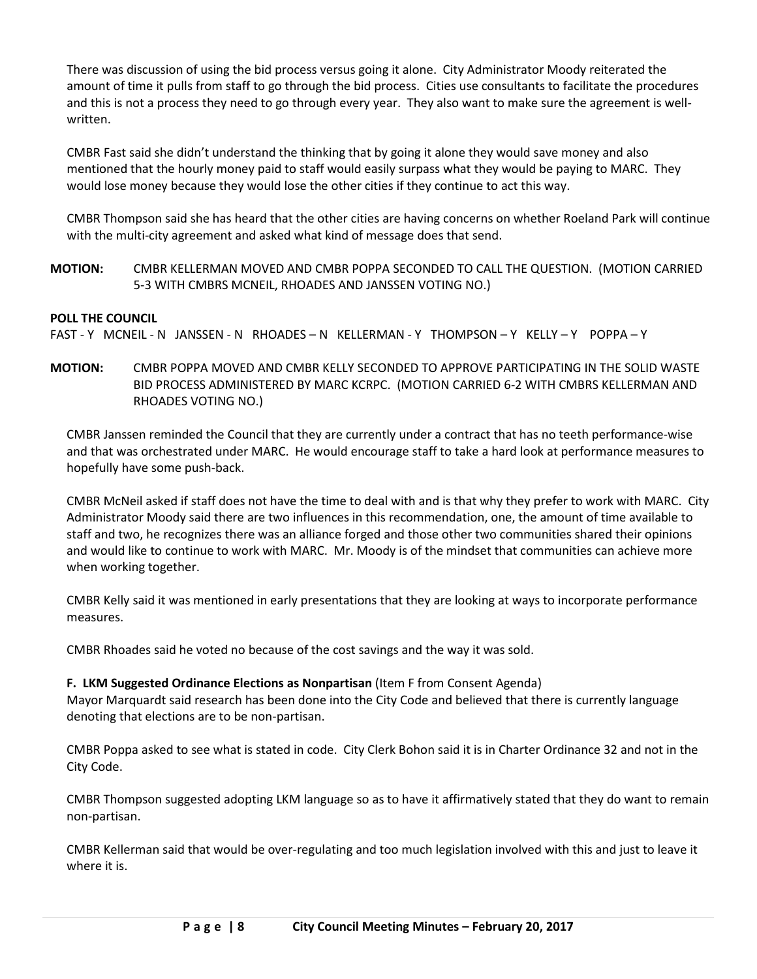There was discussion of using the bid process versus going it alone. City Administrator Moody reiterated the amount of time it pulls from staff to go through the bid process. Cities use consultants to facilitate the procedures and this is not a process they need to go through every year. They also want to make sure the agreement is wellwritten.

CMBR Fast said she didn't understand the thinking that by going it alone they would save money and also mentioned that the hourly money paid to staff would easily surpass what they would be paying to MARC. They would lose money because they would lose the other cities if they continue to act this way.

CMBR Thompson said she has heard that the other cities are having concerns on whether Roeland Park will continue with the multi-city agreement and asked what kind of message does that send.

**MOTION:** CMBR KELLERMAN MOVED AND CMBR POPPA SECONDED TO CALL THE QUESTION. (MOTION CARRIED 5-3 WITH CMBRS MCNEIL, RHOADES AND JANSSEN VOTING NO.)

### **POLL THE COUNCIL**

FAST - Y MCNEIL - N JANSSEN - N RHOADES – N KELLERMAN - Y THOMPSON – Y KELLY – Y POPPA – Y

**MOTION:** CMBR POPPA MOVED AND CMBR KELLY SECONDED TO APPROVE PARTICIPATING IN THE SOLID WASTE BID PROCESS ADMINISTERED BY MARC KCRPC. (MOTION CARRIED 6-2 WITH CMBRS KELLERMAN AND RHOADES VOTING NO.)

CMBR Janssen reminded the Council that they are currently under a contract that has no teeth performance-wise and that was orchestrated under MARC. He would encourage staff to take a hard look at performance measures to hopefully have some push-back.

CMBR McNeil asked if staff does not have the time to deal with and is that why they prefer to work with MARC. City Administrator Moody said there are two influences in this recommendation, one, the amount of time available to staff and two, he recognizes there was an alliance forged and those other two communities shared their opinions and would like to continue to work with MARC. Mr. Moody is of the mindset that communities can achieve more when working together.

CMBR Kelly said it was mentioned in early presentations that they are looking at ways to incorporate performance measures.

CMBR Rhoades said he voted no because of the cost savings and the way it was sold.

### **F. LKM Suggested Ordinance Elections as Nonpartisan** (Item F from Consent Agenda)

Mayor Marquardt said research has been done into the City Code and believed that there is currently language denoting that elections are to be non-partisan.

CMBR Poppa asked to see what is stated in code. City Clerk Bohon said it is in Charter Ordinance 32 and not in the City Code.

CMBR Thompson suggested adopting LKM language so as to have it affirmatively stated that they do want to remain non-partisan.

CMBR Kellerman said that would be over-regulating and too much legislation involved with this and just to leave it where it is.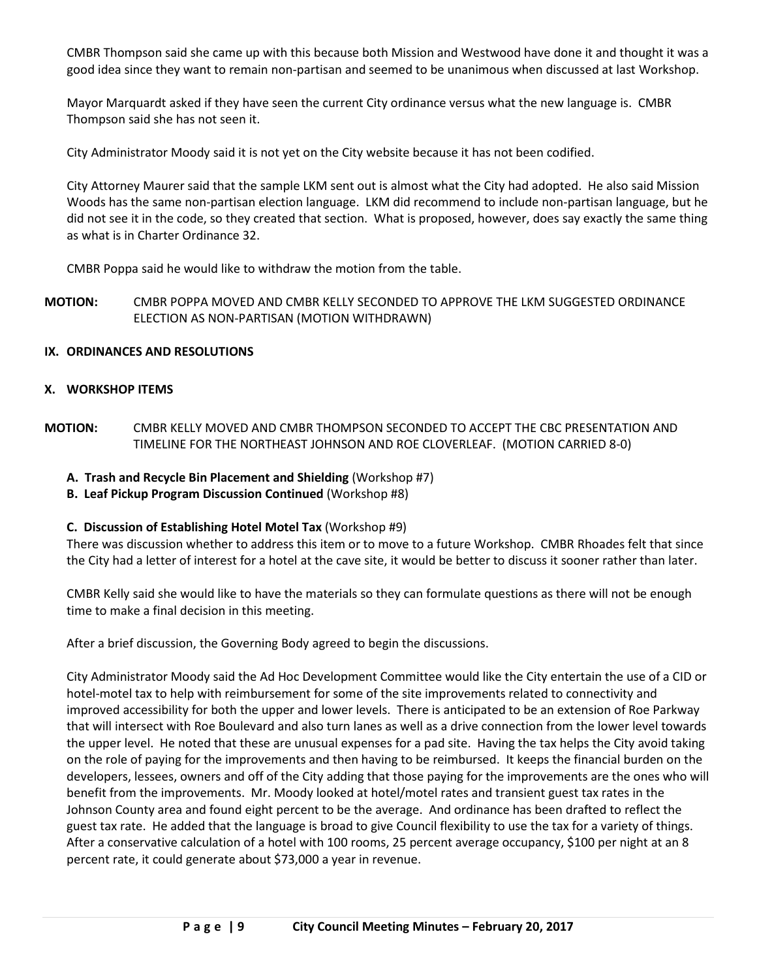CMBR Thompson said she came up with this because both Mission and Westwood have done it and thought it was a good idea since they want to remain non-partisan and seemed to be unanimous when discussed at last Workshop.

Mayor Marquardt asked if they have seen the current City ordinance versus what the new language is. CMBR Thompson said she has not seen it.

City Administrator Moody said it is not yet on the City website because it has not been codified.

City Attorney Maurer said that the sample LKM sent out is almost what the City had adopted. He also said Mission Woods has the same non-partisan election language. LKM did recommend to include non-partisan language, but he did not see it in the code, so they created that section. What is proposed, however, does say exactly the same thing as what is in Charter Ordinance 32.

CMBR Poppa said he would like to withdraw the motion from the table.

### **MOTION:** CMBR POPPA MOVED AND CMBR KELLY SECONDED TO APPROVE THE LKM SUGGESTED ORDINANCE ELECTION AS NON-PARTISAN (MOTION WITHDRAWN)

### **IX. ORDINANCES AND RESOLUTIONS**

### **X. WORKSHOP ITEMS**

**MOTION:** CMBR KELLY MOVED AND CMBR THOMPSON SECONDED TO ACCEPT THE CBC PRESENTATION AND TIMELINE FOR THE NORTHEAST JOHNSON AND ROE CLOVERLEAF. (MOTION CARRIED 8-0)

### **A. Trash and Recycle Bin Placement and Shielding** (Workshop #7)

**B. Leaf Pickup Program Discussion Continued** (Workshop #8)

# **C. Discussion of Establishing Hotel Motel Tax** (Workshop #9)

There was discussion whether to address this item or to move to a future Workshop. CMBR Rhoades felt that since the City had a letter of interest for a hotel at the cave site, it would be better to discuss it sooner rather than later.

CMBR Kelly said she would like to have the materials so they can formulate questions as there will not be enough time to make a final decision in this meeting.

After a brief discussion, the Governing Body agreed to begin the discussions.

City Administrator Moody said the Ad Hoc Development Committee would like the City entertain the use of a CID or hotel-motel tax to help with reimbursement for some of the site improvements related to connectivity and improved accessibility for both the upper and lower levels. There is anticipated to be an extension of Roe Parkway that will intersect with Roe Boulevard and also turn lanes as well as a drive connection from the lower level towards the upper level. He noted that these are unusual expenses for a pad site. Having the tax helps the City avoid taking on the role of paying for the improvements and then having to be reimbursed. It keeps the financial burden on the developers, lessees, owners and off of the City adding that those paying for the improvements are the ones who will benefit from the improvements. Mr. Moody looked at hotel/motel rates and transient guest tax rates in the Johnson County area and found eight percent to be the average. And ordinance has been drafted to reflect the guest tax rate. He added that the language is broad to give Council flexibility to use the tax for a variety of things. After a conservative calculation of a hotel with 100 rooms, 25 percent average occupancy, \$100 per night at an 8 percent rate, it could generate about \$73,000 a year in revenue.